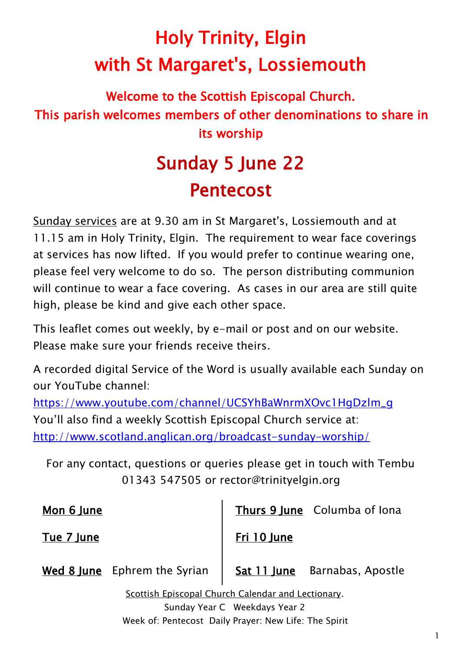# Holy Trinity, Elgin with St Margaret's, Lossiemouth

## Welcome to the Scottish Episcopal Church. This parish welcomes members of other denominations to share in its worship

## Sunday 5 June 22 Pentecost

Sunday services are at 9.30 am in St Margaret's, Lossiemouth and at 11.15 am in Holy Trinity, Elgin. The requirement to wear face coverings at services has now lifted. If you would prefer to continue wearing one, please feel very welcome to do so. The person distributing communion will continue to wear a face covering. As cases in our area are still quite high, please be kind and give each other space.

This leaflet comes out weekly, by e-mail or post and on our website. Please make sure your friends receive theirs.

A recorded digital Service of the Word is usually available each Sunday on our YouTube channel:

[https://www.youtube.com/channel/UCSYhBaWnrmXOvc1HgDzlm\\_g](https://www.youtube.com/channel/UCSYhBaWnrmXOvc1HgDzlm_g) You'll also find a weekly Scottish Episcopal Church service at: <http://www.scotland.anglican.org/broadcast-sunday-worship/>

For any contact, questions or queries please get in touch with Tembu 01343 547505 or rector@trinityelgin.org

Mon 6 lune

Tue 7 June

Thurs 9 June Columba of Iona

Fri 10 June

Wed 8 June Ephrem the Syrian

Sat 11 June Barnabas, Apostle

Scottish Episcopal Church Calendar and Lectionary. Sunday Year C Weekdays Year 2 Week of: Pentecost Daily Prayer: New Life: The Spirit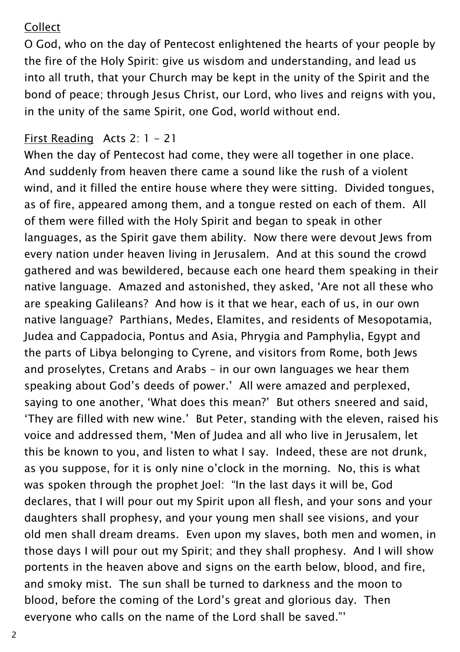#### Collect

O God, who on the day of Pentecost enlightened the hearts of your people by the fire of the Holy Spirit: give us wisdom and understanding, and lead us into all truth, that your Church may be kept in the unity of the Spirit and the bond of peace; through Jesus Christ, our Lord, who lives and reigns with you, in the unity of the same Spirit, one God, world without end.

#### First Reading Acts 2: 1 - 21

When the day of Pentecost had come, they were all together in one place. And suddenly from heaven there came a sound like the rush of a violent wind, and it filled the entire house where they were sitting. Divided tongues, as of fire, appeared among them, and a tongue rested on each of them. All of them were filled with the Holy Spirit and began to speak in other languages, as the Spirit gave them ability. Now there were devout Jews from every nation under heaven living in Jerusalem. And at this sound the crowd gathered and was bewildered, because each one heard them speaking in their native language. Amazed and astonished, they asked, 'Are not all these who are speaking Galileans? And how is it that we hear, each of us, in our own native language? Parthians, Medes, Elamites, and residents of Mesopotamia, Judea and Cappadocia, Pontus and Asia, Phrygia and Pamphylia, Egypt and the parts of Libya belonging to Cyrene, and visitors from Rome, both Jews and proselytes, Cretans and Arabs – in our own languages we hear them speaking about God's deeds of power.' All were amazed and perplexed, saying to one another, 'What does this mean?' But others sneered and said, 'They are filled with new wine.' But Peter, standing with the eleven, raised his voice and addressed them, 'Men of Judea and all who live in Jerusalem, let this be known to you, and listen to what I say. Indeed, these are not drunk, as you suppose, for it is only nine o'clock in the morning. No, this is what was spoken through the prophet Joel: "In the last days it will be, God declares, that I will pour out my Spirit upon all flesh, and your sons and your daughters shall prophesy, and your young men shall see visions, and your old men shall dream dreams. Even upon my slaves, both men and women, in those days I will pour out my Spirit; and they shall prophesy. And I will show portents in the heaven above and signs on the earth below, blood, and fire, and smoky mist. The sun shall be turned to darkness and the moon to blood, before the coming of the Lord's great and glorious day. Then everyone who calls on the name of the Lord shall be saved."'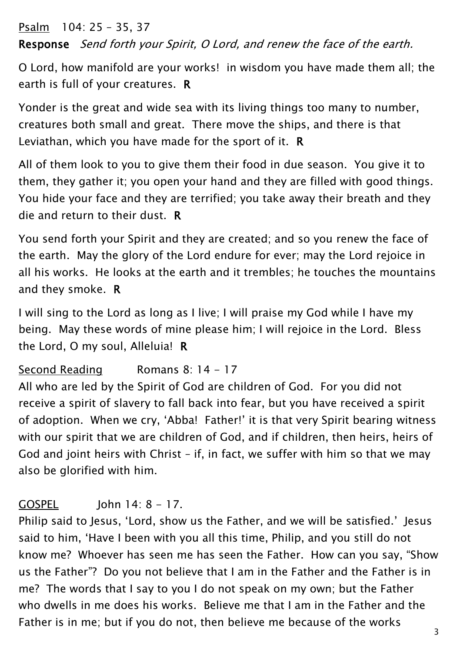Psalm 104: 25 – 35, 37 Response Send forth your Spirit, O Lord, and renew the face of the earth.

O Lord, how manifold are your works! in wisdom you have made them all; the earth is full of your creatures. R

Yonder is the great and wide sea with its living things too many to number, creatures both small and great. There move the ships, and there is that Leviathan, which you have made for the sport of it. R

All of them look to you to give them their food in due season. You give it to them, they gather it; you open your hand and they are filled with good things. You hide your face and they are terrified; you take away their breath and they die and return to their dust. R

You send forth your Spirit and they are created; and so you renew the face of the earth. May the glory of the Lord endure for ever; may the Lord rejoice in all his works. He looks at the earth and it trembles; he touches the mountains and they smoke. R

I will sing to the Lord as long as I live; I will praise my God while I have my being. May these words of mine please him; I will rejoice in the Lord. Bless the Lord, O my soul, Alleluia! R

#### Second Reading Romans 8: 14 - 17

All who are led by the Spirit of God are children of God. For you did not receive a spirit of slavery to fall back into fear, but you have received a spirit of adoption. When we cry, 'Abba! Father!' it is that very Spirit bearing witness with our spirit that we are children of God, and if children, then heirs, heirs of God and joint heirs with Christ – if, in fact, we suffer with him so that we may also be glorified with him.

#### $GOSPEL$   $\qquad$   $\qquad$   $\qquad$   $\qquad$   $\qquad$   $\qquad$   $\qquad$   $\qquad$   $\qquad$   $\qquad$   $\qquad$   $\qquad$   $\qquad$   $\qquad$   $\qquad$   $\qquad$   $\qquad$   $\qquad$   $\qquad$   $\qquad$   $\qquad$   $\qquad$   $\qquad$   $\qquad$   $\qquad$   $\qquad$   $\qquad$   $\qquad$   $\qquad$   $\qquad$   $\qquad$   $\qquad$   $\qquad$   $\qquad$   $\qquad$   $\qquad$

Philip said to Jesus, 'Lord, show us the Father, and we will be satisfied.' Jesus said to him, 'Have I been with you all this time, Philip, and you still do not know me? Whoever has seen me has seen the Father. How can you say, "Show us the Father"? Do you not believe that I am in the Father and the Father is in me? The words that I say to you I do not speak on my own; but the Father who dwells in me does his works. Believe me that I am in the Father and the Father is in me; but if you do not, then believe me because of the works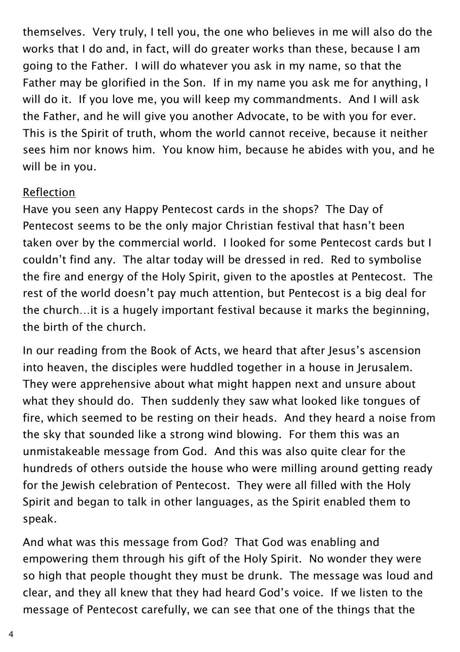themselves. Very truly, I tell you, the one who believes in me will also do the works that I do and, in fact, will do greater works than these, because I am going to the Father. I will do whatever you ask in my name, so that the Father may be glorified in the Son. If in my name you ask me for anything, I will do it. If you love me, you will keep my commandments. And I will ask the Father, and he will give you another Advocate, to be with you for ever. This is the Spirit of truth, whom the world cannot receive, because it neither sees him nor knows him. You know him, because he abides with you, and he will be in you.

#### Reflection

Have you seen any Happy Pentecost cards in the shops? The Day of Pentecost seems to be the only major Christian festival that hasn't been taken over by the commercial world. I looked for some Pentecost cards but I couldn't find any. The altar today will be dressed in red. Red to symbolise the fire and energy of the Holy Spirit, given to the apostles at Pentecost. The rest of the world doesn't pay much attention, but Pentecost is a big deal for the church…it is a hugely important festival because it marks the beginning, the birth of the church.

In our reading from the Book of Acts, we heard that after Jesus's ascension into heaven, the disciples were huddled together in a house in Jerusalem. They were apprehensive about what might happen next and unsure about what they should do. Then suddenly they saw what looked like tongues of fire, which seemed to be resting on their heads. And they heard a noise from the sky that sounded like a strong wind blowing. For them this was an unmistakeable message from God. And this was also quite clear for the hundreds of others outside the house who were milling around getting ready for the Jewish celebration of Pentecost. They were all filled with the Holy Spirit and began to talk in other languages, as the Spirit enabled them to speak.

And what was this message from God? That God was enabling and empowering them through his gift of the Holy Spirit. No wonder they were so high that people thought they must be drunk. The message was loud and clear, and they all knew that they had heard God's voice. If we listen to the message of Pentecost carefully, we can see that one of the things that the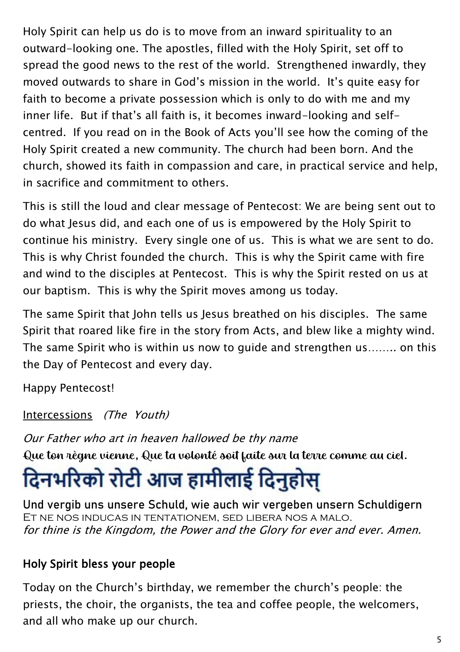Holy Spirit can help us do is to move from an inward spirituality to an outward-looking one. The apostles, filled with the Holy Spirit, set off to spread the good news to the rest of the world. Strengthened inwardly, they moved outwards to share in God's mission in the world. It's quite easy for faith to become a private possession which is only to do with me and my inner life. But if that's all faith is, it becomes inward-looking and selfcentred. If you read on in the Book of Acts you'll see how the coming of the Holy Spirit created a new community. The church had been born. And the church, showed its faith in compassion and care, in practical service and help, in sacrifice and commitment to others.

This is still the loud and clear message of Pentecost: We are being sent out to do what Jesus did, and each one of us is empowered by the Holy Spirit to continue his ministry. Every single one of us. This is what we are sent to do. This is why Christ founded the church. This is why the Spirit came with fire and wind to the disciples at Pentecost. This is why the Spirit rested on us at our baptism. This is why the Spirit moves among us today.

The same Spirit that John tells us Jesus breathed on his disciples. The same Spirit that roared like fire in the story from Acts, and blew like a mighty wind. The same Spirit who is within us now to guide and strengthen us…….. on this the Day of Pentecost and every day.

Happy Pentecost!

Intercessions (The Youth)

Our Father who art in heaven hallowed be thy name

Que ton règne vienne, Que ta volonté soit faite sur la terre comme au ciel.

# दिनभरिको रोटी आज हामीलाई दिनुहोस्

Und vergib uns unsere Schuld, wie auch wir vergeben unsern Schuldigern Et ne nos inducas in tentationem, sed libera nos a malo. for thine is the Kingdom, the Power and the Glory for ever and ever. Amen.

### Holy Spirit bless your people

Today on the Church's birthday, we remember the church's people: the priests, the choir, the organists, the tea and coffee people, the welcomers, and all who make up our church.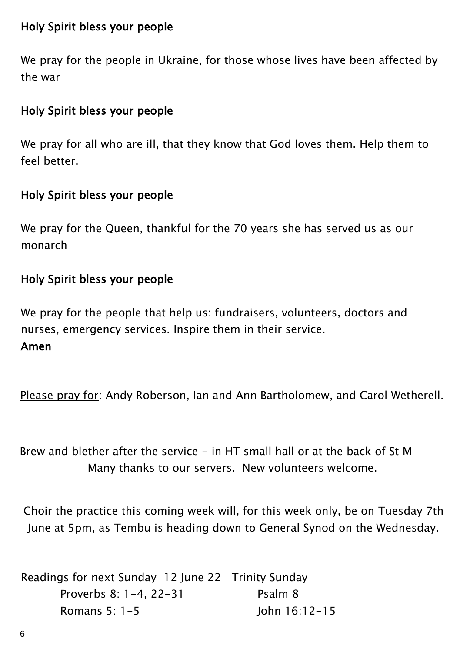#### Holy Spirit bless your people

We pray for the people in Ukraine, for those whose lives have been affected by the war

#### Holy Spirit bless your people

We pray for all who are ill, that they know that God loves them. Help them to feel better.

#### Holy Spirit bless your people

We pray for the Queen, thankful for the 70 years she has served us as our monarch

#### Holy Spirit bless your people

We pray for the people that help us: fundraisers, volunteers, doctors and nurses, emergency services. Inspire them in their service. Amen

Please pray for: Andy Roberson, Ian and Ann Bartholomew, and Carol Wetherell.

Brew and blether after the service - in HT small hall or at the back of St M Many thanks to our servers. New volunteers welcome.

Choir the practice this coming week will, for this week only, be on Tuesday 7th June at 5pm, as Tembu is heading down to General Synod on the Wednesday.

| Readings for next Sunday 12 June 22 Trinity Sunday |                |
|----------------------------------------------------|----------------|
| Proverbs 8: $1-4.22-31$                            | Psalm 8        |
| Romans 5: $1-5$                                    | -lohn 16:12-15 |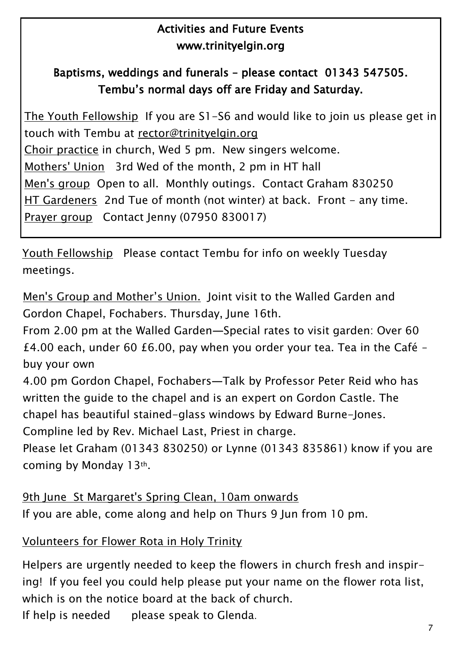#### Activities and Future Events [www.trinityelgin.org](file:///C:/Users/pc/Documents/Church/Pew%20leaflet/www.trinityelgin.org)

#### Baptisms, weddings and funerals – please contact 01343 547505. Tembu's normal days off are Friday and Saturday.

The Youth Fellowship If you are S1-S6 and would like to join us please get in touch with Tembu at [rector@trinityelgin.org](mailto:rector@trinityelgin.org)  Choir practice in church, Wed 5 pm. New singers welcome. Mothers' Union 3rd Wed of the month, 2 pm in HT hall Men's group Open to all. Monthly outings. Contact Graham 830250 HT Gardeners 2nd Tue of month (not winter) at back. Front - any time. Prayer group Contact Jenny (07950 830017)

Youth Fellowship Please contact Tembu for info on weekly Tuesday meetings.

Men's Group and Mother's Union. Joint visit to the Walled Garden and Gordon Chapel, Fochabers. Thursday, June 16th.

From 2.00 pm at the Walled Garden—Special rates to visit garden: Over 60 £4.00 each, under 60 £6.00, pay when you order your tea. Tea in the Café – buy your own

4.00 pm Gordon Chapel, Fochabers—Talk by Professor Peter Reid who has written the guide to the chapel and is an expert on Gordon Castle. The chapel has beautiful stained-glass windows by Edward Burne-Jones. Compline led by Rev. Michael Last, Priest in charge.

Please let Graham (01343 830250) or Lynne (01343 835861) know if you are coming by Monday 13th.

9th June St Margaret's Spring Clean, 10am onwards If you are able, come along and help on Thurs 9 Jun from 10 pm.

#### Volunteers for Flower Rota in Holy Trinity

Helpers are urgently needed to keep the flowers in church fresh and inspiring! If you feel you could help please put your name on the flower rota list, which is on the notice board at the back of church. If help is needed please speak to Glenda.